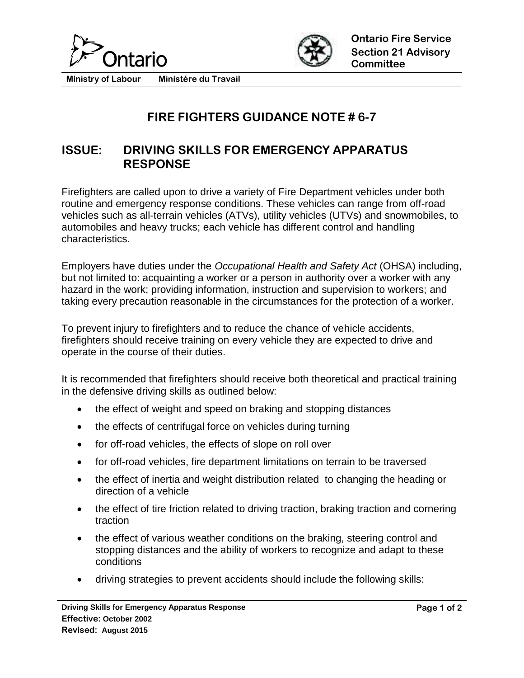



**Ministry of Labour Ministére du Travail**

## **FIRE FIGHTERS GUIDANCE NOTE # 6-7**

## **ISSUE: DRIVING SKILLS FOR EMERGENCY APPARATUS RESPONSE**

Firefighters are called upon to drive a variety of Fire Department vehicles under both routine and emergency response conditions. These vehicles can range from off-road vehicles such as all-terrain vehicles (ATVs), utility vehicles (UTVs) and snowmobiles, to automobiles and heavy trucks; each vehicle has different control and handling characteristics.

Employers have duties under the *Occupational Health and Safety Act* (OHSA) including, but not limited to: acquainting a worker or a person in authority over a worker with any hazard in the work; providing information, instruction and supervision to workers; and taking every precaution reasonable in the circumstances for the protection of a worker.

To prevent injury to firefighters and to reduce the chance of vehicle accidents, firefighters should receive training on every vehicle they are expected to drive and operate in the course of their duties.

It is recommended that firefighters should receive both theoretical and practical training in the defensive driving skills as outlined below:

- the effect of weight and speed on braking and stopping distances
- the effects of centrifugal force on vehicles during turning
- for off-road vehicles, the effects of slope on roll over
- for off-road vehicles, fire department limitations on terrain to be traversed
- the effect of inertia and weight distribution related to changing the heading or direction of a vehicle
- the effect of tire friction related to driving traction, braking traction and cornering traction
- the effect of various weather conditions on the braking, steering control and stopping distances and the ability of workers to recognize and adapt to these conditions
- driving strategies to prevent accidents should include the following skills: